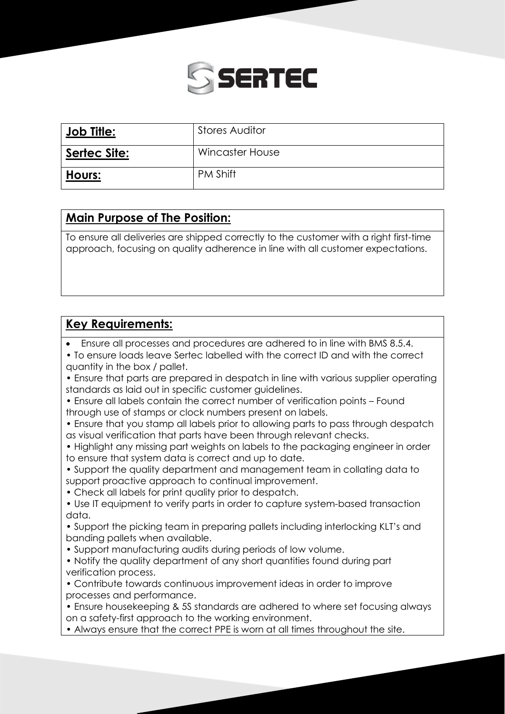

| <b>Job Title:</b>   | <b>Stores Auditor</b> |
|---------------------|-----------------------|
| <b>Sertec Site:</b> | Wincaster House       |
| Hours:              | <b>PM Shift</b>       |

## **Main Purpose of The Position:**

To ensure all deliveries are shipped correctly to the customer with a right first-time approach, focusing on quality adherence in line with all customer expectations.

## **Key Requirements:**

• Ensure all processes and procedures are adhered to in line with BMS 8.5.4.

• To ensure loads leave Sertec labelled with the correct ID and with the correct quantity in the box / pallet.

- Ensure that parts are prepared in despatch in line with various supplier operating standards as laid out in specific customer guidelines.
- Ensure all labels contain the correct number of verification points Found through use of stamps or clock numbers present on labels.
- Ensure that you stamp all labels prior to allowing parts to pass through despatch as visual verification that parts have been through relevant checks.
- Highlight any missing part weights on labels to the packaging engineer in order to ensure that system data is correct and up to date.

• Support the quality department and management team in collating data to support proactive approach to continual improvement.

- Check all labels for print quality prior to despatch.
- Use IT equipment to verify parts in order to capture system-based transaction data.
- Support the picking team in preparing pallets including interlocking KLT's and banding pallets when available.
- Support manufacturing audits during periods of low volume.
- Notify the quality department of any short quantities found during part verification process.
- Contribute towards continuous improvement ideas in order to improve processes and performance.
- Ensure housekeeping & 5S standards are adhered to where set focusing always on a safety-first approach to the working environment.
- Always ensure that the correct PPE is worn at all times throughout the site.